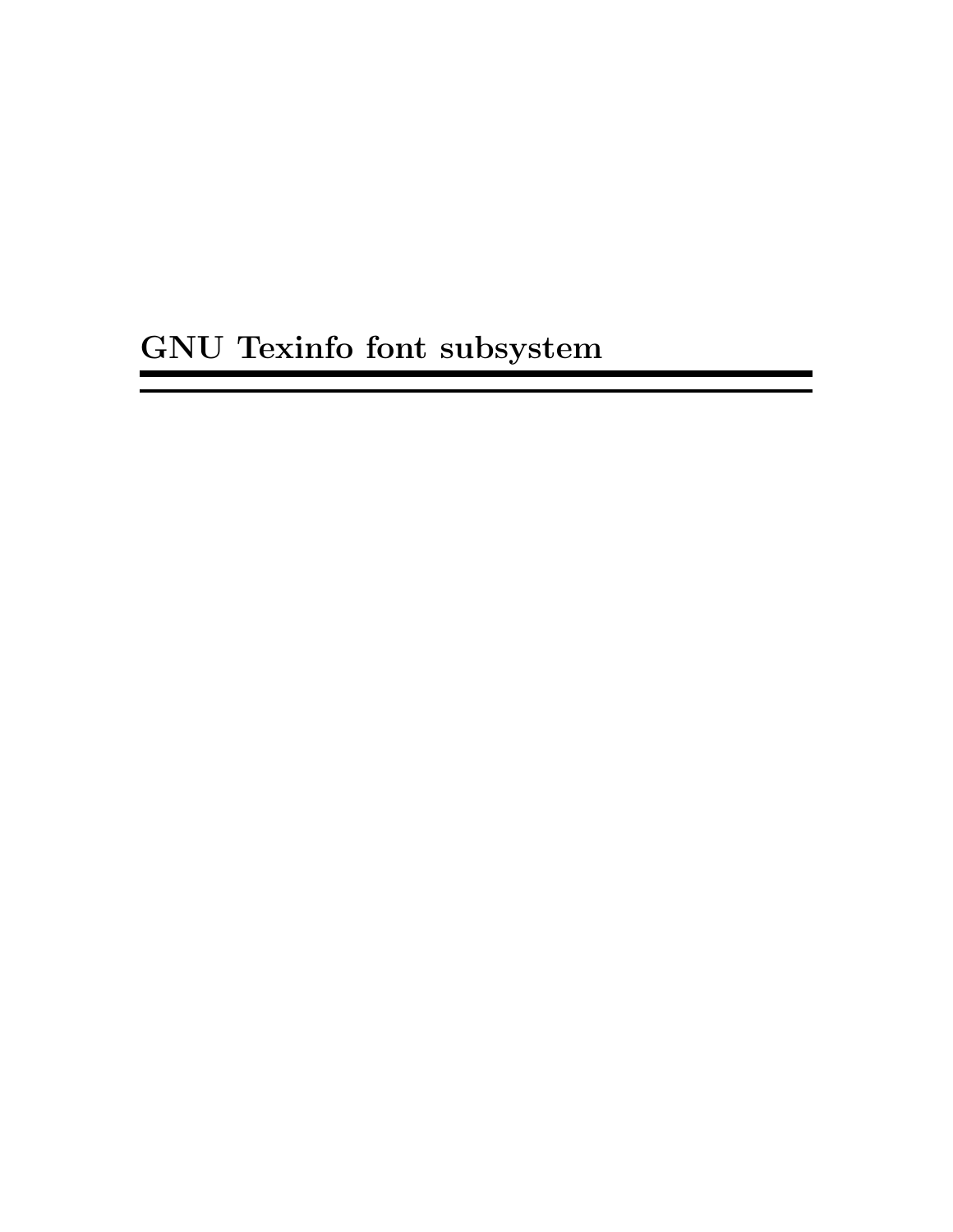# GNU Texinfo font subsystem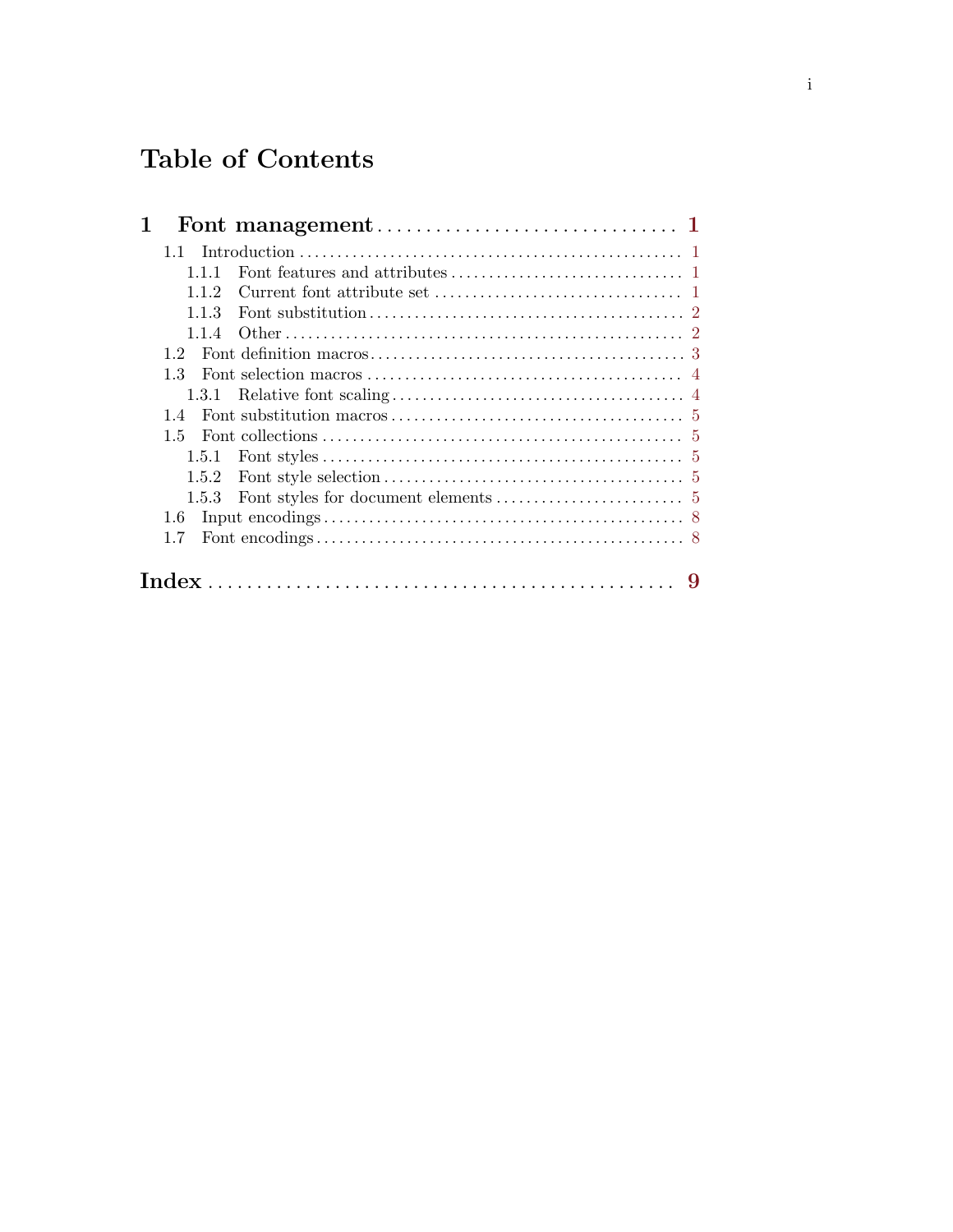## Table of Contents

| 1.1          |  |
|--------------|--|
| 111          |  |
| 112          |  |
| 113          |  |
| 114          |  |
| 12           |  |
| 1.3          |  |
| 1.3.1        |  |
| 14           |  |
| 1.5          |  |
| 1.5.1        |  |
| 1.5.2        |  |
| 1.5.3        |  |
| 1.6          |  |
| 1.7          |  |
| <b>Index</b> |  |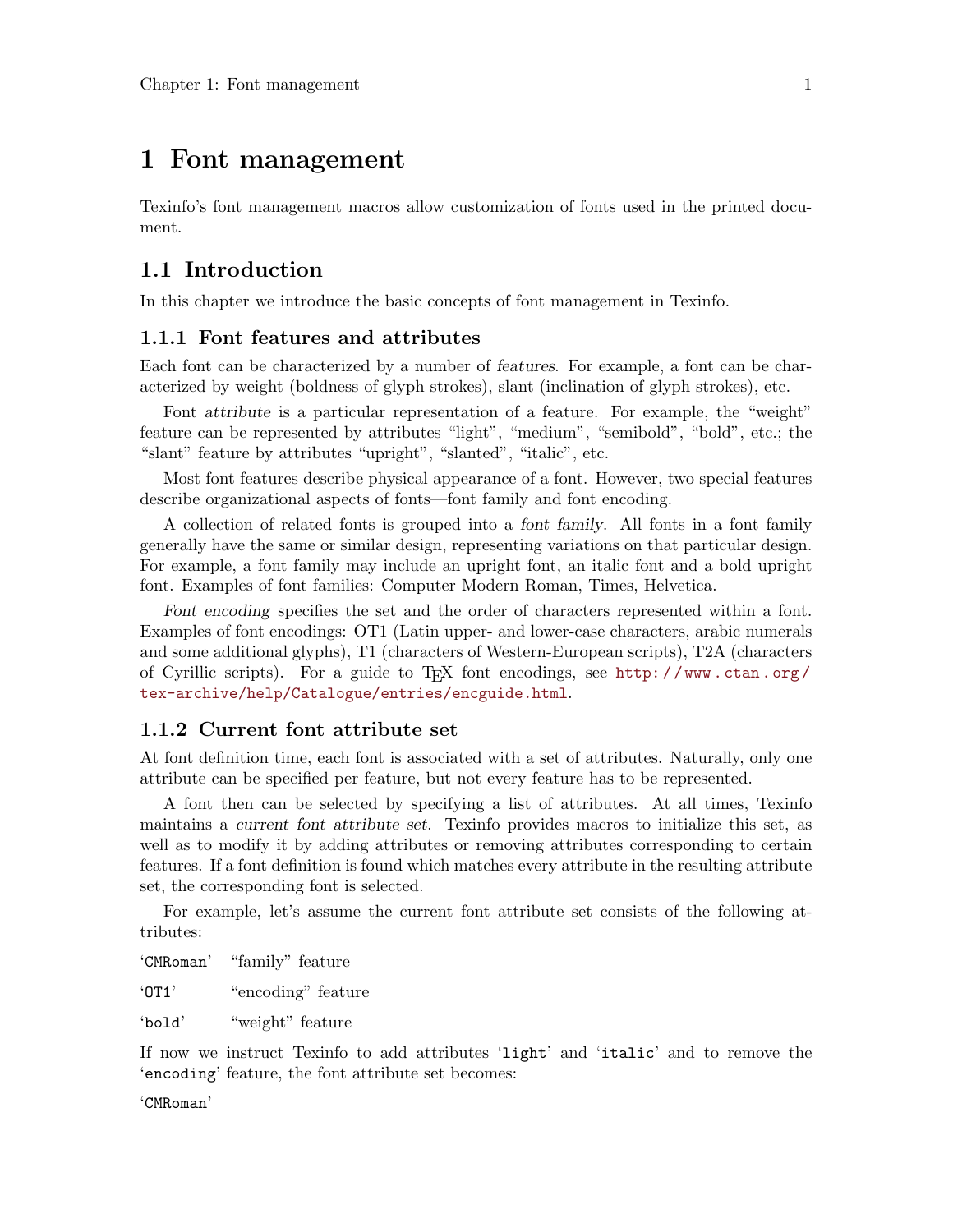## <span id="page-2-0"></span>1 Font management

Texinfo's font management macros allow customization of fonts used in the printed document.

### 1.1 Introduction

In this chapter we introduce the basic concepts of font management in Texinfo.

### 1.1.1 Font features and attributes

Each font can be characterized by a number of features. For example, a font can be characterized by weight (boldness of glyph strokes), slant (inclination of glyph strokes), etc.

Font attribute is a particular representation of a feature. For example, the "weight" feature can be represented by attributes "light", "medium", "semibold", "bold", etc.; the "slant" feature by attributes "upright", "slanted", "italic", etc.

Most font features describe physical appearance of a font. However, two special features describe organizational aspects of fonts—font family and font encoding.

A collection of related fonts is grouped into a font family. All fonts in a font family generally have the same or similar design, representing variations on that particular design. For example, a font family may include an upright font, an italic font and a bold upright font. Examples of font families: Computer Modern Roman, Times, Helvetica.

Font encoding specifies the set and the order of characters represented within a font. Examples of font encodings: OT1 (Latin upper- and lower-case characters, arabic numerals and some additional glyphs), T1 (characters of Western-European scripts), T2A (characters of Cyrillic scripts). For a guide to T<sub>E</sub>X font encodings, see http://www.ctan.org/ [tex-archive/help/Catalogue/entries/encguide.html](http://www.ctan.org/tex-archive/help/Catalogue/entries/encguide.html).

### 1.1.2 Current font attribute set

At font definition time, each font is associated with a set of attributes. Naturally, only one attribute can be specified per feature, but not every feature has to be represented.

A font then can be selected by specifying a list of attributes. At all times, Texinfo maintains a current font attribute set. Texinfo provides macros to initialize this set, as well as to modify it by adding attributes or removing attributes corresponding to certain features. If a font definition is found which matches every attribute in the resulting attribute set, the corresponding font is selected.

For example, let's assume the current font attribute set consists of the following attributes:

'CMRoman' "family" feature 'OT1' "encoding" feature 'bold' "weight" feature

If now we instruct Texinfo to add attributes 'light' and 'italic' and to remove the 'encoding' feature, the font attribute set becomes:

'CMRoman'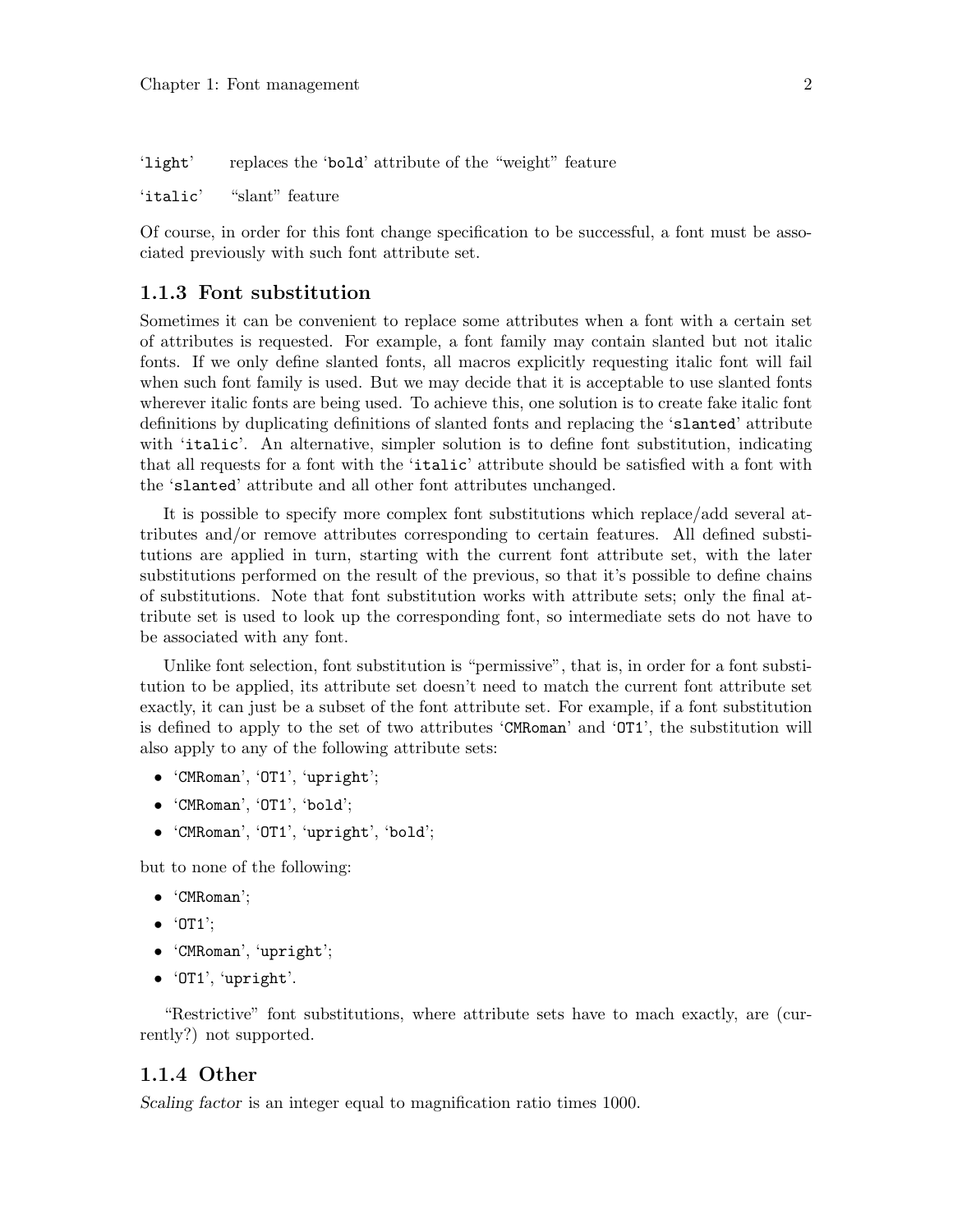<span id="page-3-0"></span>'light' replaces the 'bold' attribute of the "weight" feature

'italic' "slant" feature

Of course, in order for this font change specification to be successful, a font must be associated previously with such font attribute set.

### 1.1.3 Font substitution

Sometimes it can be convenient to replace some attributes when a font with a certain set of attributes is requested. For example, a font family may contain slanted but not italic fonts. If we only define slanted fonts, all macros explicitly requesting italic font will fail when such font family is used. But we may decide that it is acceptable to use slanted fonts wherever italic fonts are being used. To achieve this, one solution is to create fake italic font definitions by duplicating definitions of slanted fonts and replacing the 'slanted' attribute with 'italic'. An alternative, simpler solution is to define font substitution, indicating that all requests for a font with the 'italic' attribute should be satisfied with a font with the 'slanted' attribute and all other font attributes unchanged.

It is possible to specify more complex font substitutions which replace/add several attributes and/or remove attributes corresponding to certain features. All defined substitutions are applied in turn, starting with the current font attribute set, with the later substitutions performed on the result of the previous, so that it's possible to define chains of substitutions. Note that font substitution works with attribute sets; only the final attribute set is used to look up the corresponding font, so intermediate sets do not have to be associated with any font.

Unlike font selection, font substitution is "permissive", that is, in order for a font substitution to be applied, its attribute set doesn't need to match the current font attribute set exactly, it can just be a subset of the font attribute set. For example, if a font substitution is defined to apply to the set of two attributes 'CMRoman' and 'OT1', the substitution will also apply to any of the following attribute sets:

- 'CMRoman', 'OT1', 'upright';
- 'CMRoman', 'OT1', 'bold';
- 'CMRoman', 'OT1', 'upright', 'bold';

but to none of the following:

- 'CMRoman';
- $\bullet$  'OT1';
- 'CMRoman', 'upright';
- 'OT1', 'upright'.

"Restrictive" font substitutions, where attribute sets have to mach exactly, are (currently?) not supported.

#### 1.1.4 Other

Scaling factor is an integer equal to magnification ratio times 1000.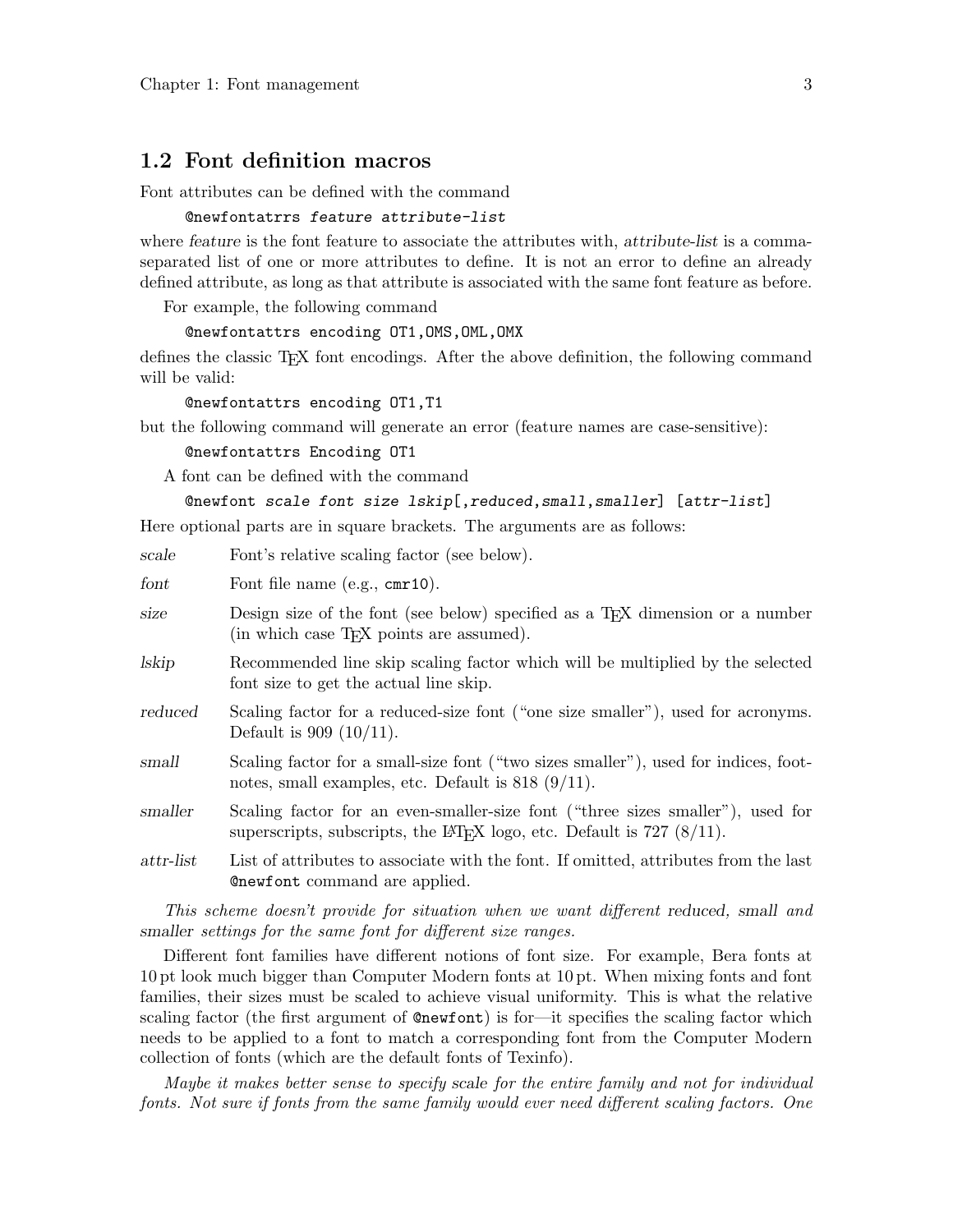### <span id="page-4-0"></span>1.2 Font definition macros

Font attributes can be defined with the command

#### @newfontatrrs feature attribute-list

where feature is the font feature to associate the attributes with, attribute-list is a commaseparated list of one or more attributes to define. It is not an error to define an already defined attribute, as long as that attribute is associated with the same font feature as before.

For example, the following command

#### @newfontattrs encoding OT1,OMS,OML,OMX

defines the classic TEX font encodings. After the above definition, the following command will be valid:

@newfontattrs encoding OT1,T1

but the following command will generate an error (feature names are case-sensitive):

@newfontattrs Encoding OT1

A font can be defined with the command

#### @newfont scale font size lskip[,reduced,small,smaller] [attr-list]

Here optional parts are in square brackets. The arguments are as follows:

| scale          | Font's relative scaling factor (see below).                                                                                                                                |
|----------------|----------------------------------------------------------------------------------------------------------------------------------------------------------------------------|
| font           | Font file name (e.g., cmr10).                                                                                                                                              |
| size           | Design size of the font (see below) specified as a T <sub>F</sub> X dimension or a number<br>(in which case T <sub>F</sub> X points are assumed).                          |
| lskip          | Recommended line skip scaling factor which will be multiplied by the selected<br>font size to get the actual line skip.                                                    |
| reduced        | Scaling factor for a reduced-size font ("one size smaller"), used for acronyms.<br>Default is $909 (10/11)$ .                                                              |
| small          | Scaling factor for a small-size font ("two sizes smaller"), used for indices, foot-<br>notes, small examples, etc. Default is $818 (9/11)$ .                               |
| smaller        | Scaling factor for an even-smaller-size font ("three sizes smaller"), used for<br>superscripts, subscripts, the L <sup>AT</sup> FX logo, etc. Default is $727$ ( $8/11$ ). |
| $_{attr-list}$ | List of attributes to associate with the font. If omitted, attributes from the last<br><b>Conducter</b> command are applied.                                               |

This scheme doesn't provide for situation when we want different reduced, small and smaller settings for the same font for different size ranges.

Different font families have different notions of font size. For example, Bera fonts at 10 pt look much bigger than Computer Modern fonts at 10 pt. When mixing fonts and font families, their sizes must be scaled to achieve visual uniformity. This is what the relative scaling factor (the first argument of @newfont) is for—it specifies the scaling factor which needs to be applied to a font to match a corresponding font from the Computer Modern collection of fonts (which are the default fonts of Texinfo).

Maybe it makes better sense to specify scale for the entire family and not for individual fonts. Not sure if fonts from the same family would ever need different scaling factors. One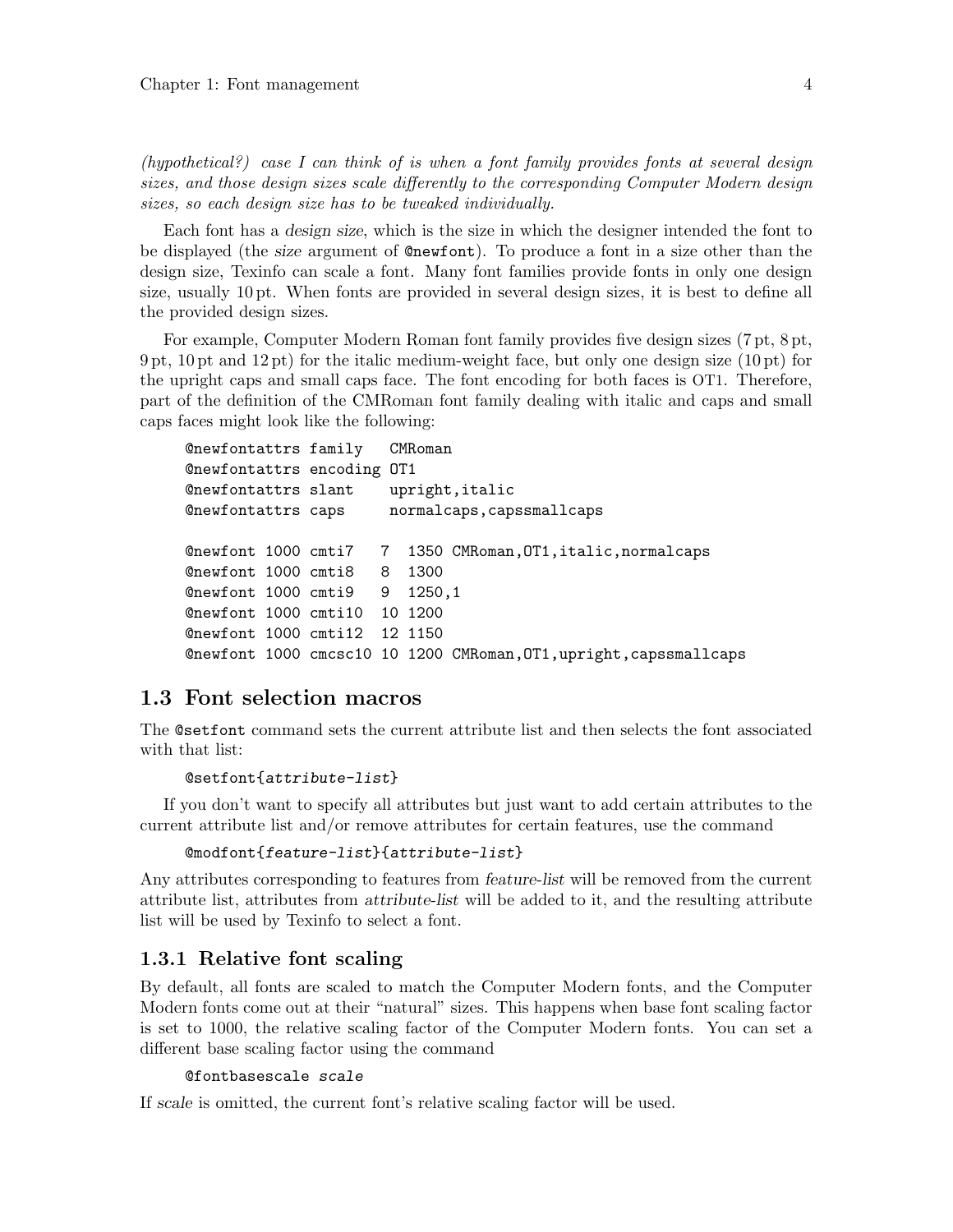<span id="page-5-0"></span>(hypothetical?) case I can think of is when a font family provides fonts at several design sizes, and those design sizes scale differently to the corresponding Computer Modern design sizes, so each design size has to be tweaked individually.

Each font has a design size, which is the size in which the designer intended the font to be displayed (the size argument of @newfont). To produce a font in a size other than the design size, Texinfo can scale a font. Many font families provide fonts in only one design size, usually 10 pt. When fonts are provided in several design sizes, it is best to define all the provided design sizes.

For example, Computer Modern Roman font family provides five design sizes (7 pt, 8 pt, 9 pt, 10 pt and 12 pt) for the italic medium-weight face, but only one design size (10 pt) for the upright caps and small caps face. The font encoding for both faces is OT1. Therefore, part of the definition of the CMRoman font family dealing with italic and caps and small caps faces might look like the following:

```
@newfontattrs family CMRoman
@newfontattrs encoding OT1
@newfontattrs slant upright,italic
@newfontattrs caps normalcaps,capssmallcaps
@newfont 1000 cmti7 7 1350 CMRoman,OT1,italic,normalcaps
@newfont 1000 cmti8 8 1300
@newfont 1000 cmti9 9 1250,1
@newfont 1000 cmti10 10 1200
@newfont 1000 cmti12 12 1150
@newfont 1000 cmcsc10 10 1200 CMRoman,OT1,upright,capssmallcaps
```
### 1.3 Font selection macros

The @setfont command sets the current attribute list and then selects the font associated with that list:

#### @setfont{attribute-list}

If you don't want to specify all attributes but just want to add certain attributes to the current attribute list and/or remove attributes for certain features, use the command

```
@modfont{feature-list}{attribute-list}
```
Any attributes corresponding to features from feature-list will be removed from the current attribute list, attributes from attribute-list will be added to it, and the resulting attribute list will be used by Texinfo to select a font.

### 1.3.1 Relative font scaling

By default, all fonts are scaled to match the Computer Modern fonts, and the Computer Modern fonts come out at their "natural" sizes. This happens when base font scaling factor is set to 1000, the relative scaling factor of the Computer Modern fonts. You can set a different base scaling factor using the command

#### @fontbasescale scale

If scale is omitted, the current font's relative scaling factor will be used.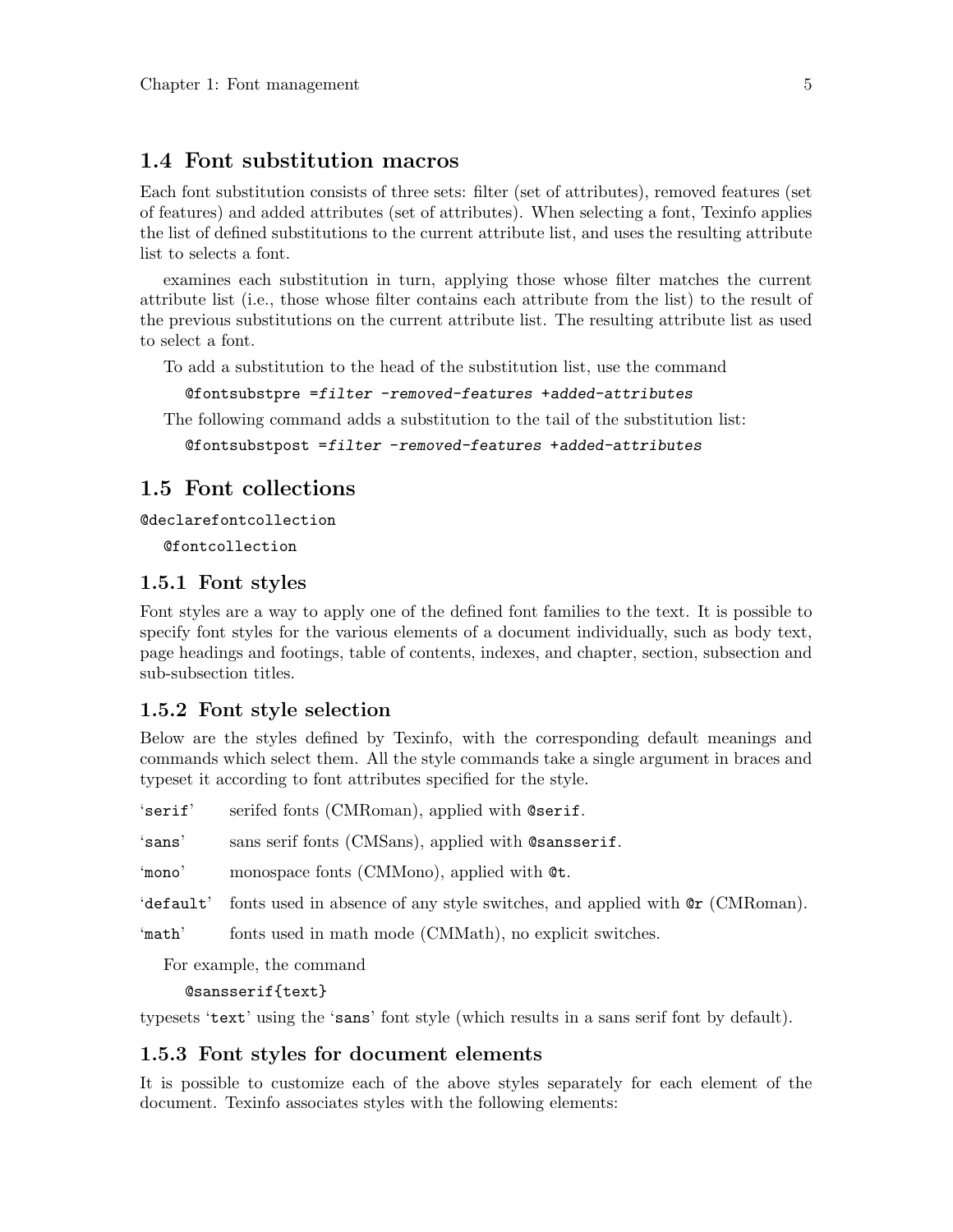## <span id="page-6-0"></span>1.4 Font substitution macros

Each font substitution consists of three sets: filter (set of attributes), removed features (set of features) and added attributes (set of attributes). When selecting a font, Texinfo applies the list of defined substitutions to the current attribute list, and uses the resulting attribute list to selects a font.

examines each substitution in turn, applying those whose filter matches the current attribute list (i.e., those whose filter contains each attribute from the list) to the result of the previous substitutions on the current attribute list. The resulting attribute list as used to select a font.

To add a substitution to the head of the substitution list, use the command

```
@fontsubstpre =filter -removed-features +added-attributes
```
The following command adds a substitution to the tail of the substitution list:

```
@fontsubstpost =filter -removed-features +added-attributes
```
### 1.5 Font collections

```
@declarefontcollection
```
@fontcollection

### 1.5.1 Font styles

Font styles are a way to apply one of the defined font families to the text. It is possible to specify font styles for the various elements of a document individually, such as body text, page headings and footings, table of contents, indexes, and chapter, section, subsection and sub-subsection titles.

### 1.5.2 Font style selection

Below are the styles defined by Texinfo, with the corresponding default meanings and commands which select them. All the style commands take a single argument in braces and typeset it according to font attributes specified for the style.

'serif' serifed fonts (CMRoman), applied with @serif.

'sans' sans serif fonts (CMSans), applied with @sansserif.

'mono' monospace fonts (CMMono), applied with @t.

'default' fonts used in absence of any style switches, and applied with @r (CMRoman).

'math' fonts used in math mode (CMMath), no explicit switches.

For example, the command

@sansserif{text}

typesets 'text' using the 'sans' font style (which results in a sans serif font by default).

### 1.5.3 Font styles for document elements

It is possible to customize each of the above styles separately for each element of the document. Texinfo associates styles with the following elements: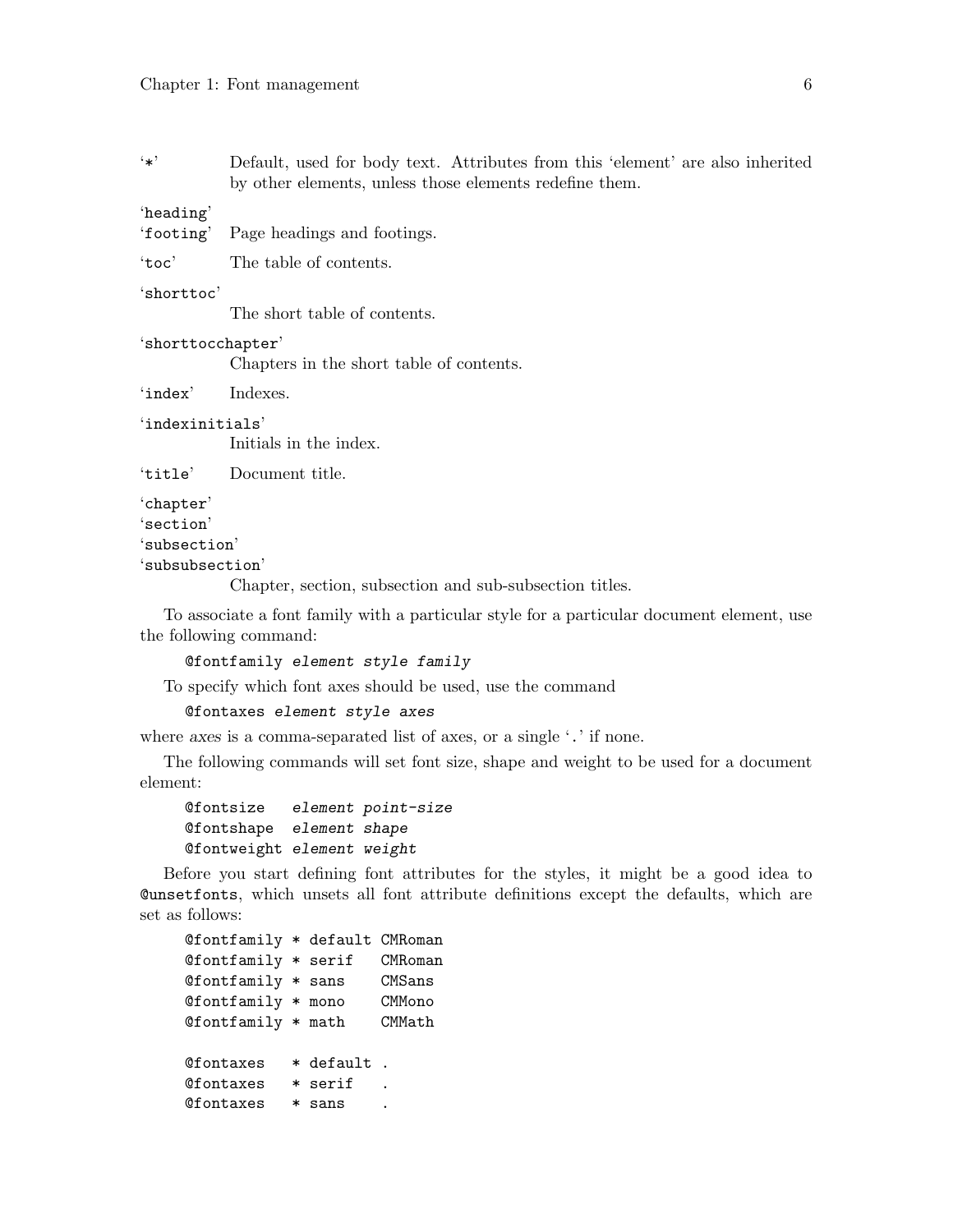<span id="page-7-0"></span>'\*' Default, used for body text. Attributes from this 'element' are also inherited by other elements, unless those elements redefine them.

#### 'heading'

'footing' Page headings and footings.

'toc' The table of contents.

#### 'shorttoc'

The short table of contents.

#### 'shorttocchapter'

Chapters in the short table of contents.

'index' Indexes.

#### 'indexinitials'

Initials in the index.

'title' Document title.

```
'chapter'
```
'section'

```
'subsection'
```
'subsubsection'

Chapter, section, subsection and sub-subsection titles.

To associate a font family with a particular style for a particular document element, use the following command:

#### @fontfamily element style family

To specify which font axes should be used, use the command

### @fontaxes element style axes

where axes is a comma-separated list of axes, or a single '.' if none.

The following commands will set font size, shape and weight to be used for a document element:

### @fontsize element point-size @fontshape element shape @fontweight element weight

Before you start defining font attributes for the styles, it might be a good idea to @unsetfonts, which unsets all font attribute definitions except the defaults, which are set as follows:

| @fontfamily * default CMRoman |             |         |
|-------------------------------|-------------|---------|
| @fontfamily * serif           |             | CMRoman |
| @fontfamily * sans            |             | CMSans  |
| @fontfamily * mono            |             | CMMono  |
| @fontfamily * math            |             | CMMath  |
| <b>@fontaxes</b>              | * default . |         |
| <b>@fontaxes</b>              | * serif     |         |
| <b>@fontaxes</b>              | * sans      |         |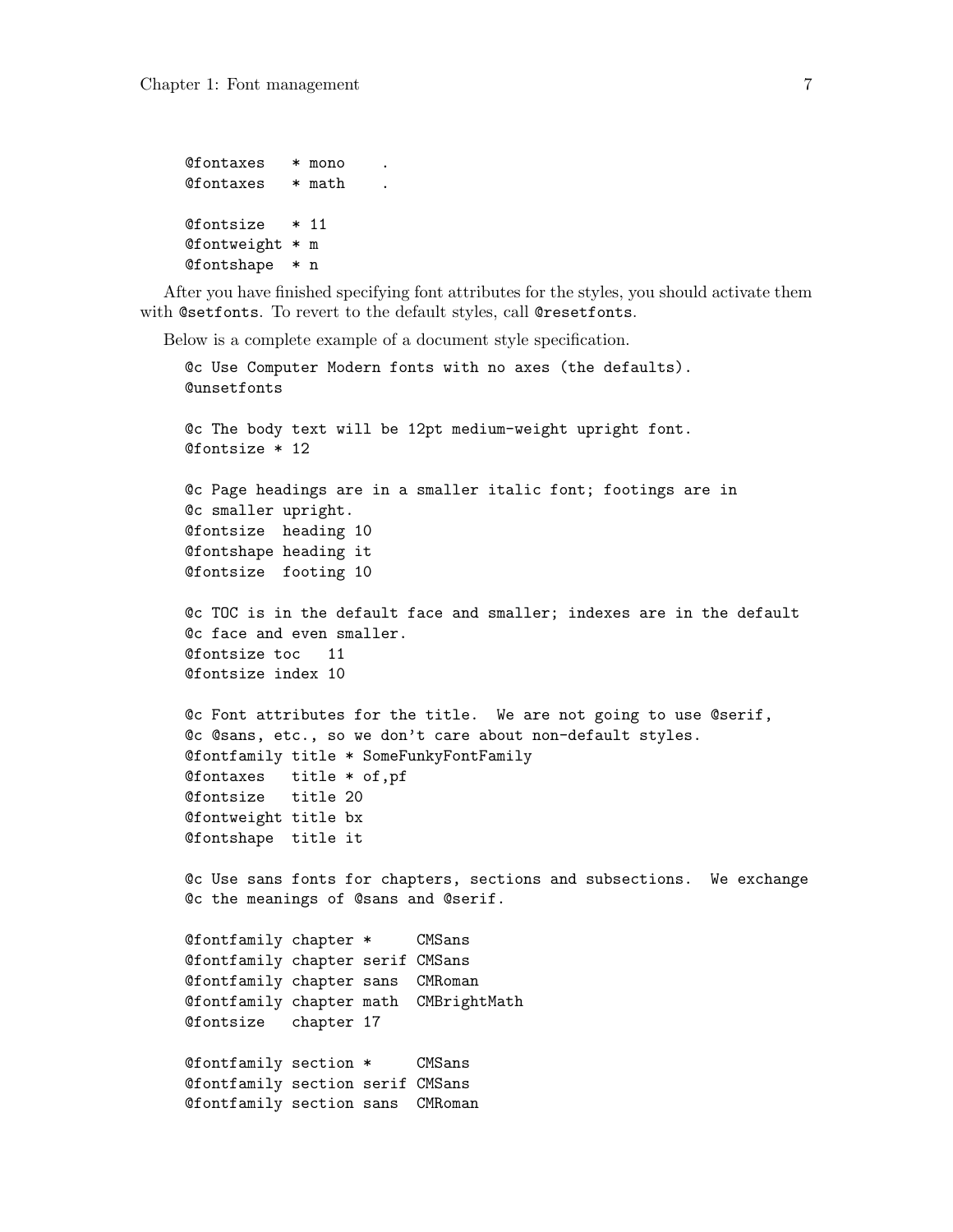```
@fontaxes * mono .
@fontaxes * math
@fontsize * 11
@fontweight * m
@fontshape * n
```
After you have finished specifying font attributes for the styles, you should activate them with @setfonts. To revert to the default styles, call @resetfonts.

Below is a complete example of a document style specification.

```
@c Use Computer Modern fonts with no axes (the defaults).
@unsetfonts
@c The body text will be 12pt medium-weight upright font.
@fontsize * 12
@c Page headings are in a smaller italic font; footings are in
@c smaller upright.
@fontsize heading 10
@fontshape heading it
@fontsize footing 10
@c TOC is in the default face and smaller; indexes are in the default
@c face and even smaller.
@fontsize toc 11
@fontsize index 10
@c Font attributes for the title. We are not going to use @serif,
@c @sans, etc., so we don't care about non-default styles.
@fontfamily title * SomeFunkyFontFamily
@fontaxes title * of,pf
@fontsize title 20
@fontweight title bx
@fontshape title it
@c Use sans fonts for chapters, sections and subsections. We exchange
@c the meanings of @sans and @serif.
@fontfamily chapter * CMSans
@fontfamily chapter serif CMSans
@fontfamily chapter sans CMRoman
@fontfamily chapter math CMBrightMath
@fontsize chapter 17
@fontfamily section * CMSans
@fontfamily section serif CMSans
@fontfamily section sans CMRoman
```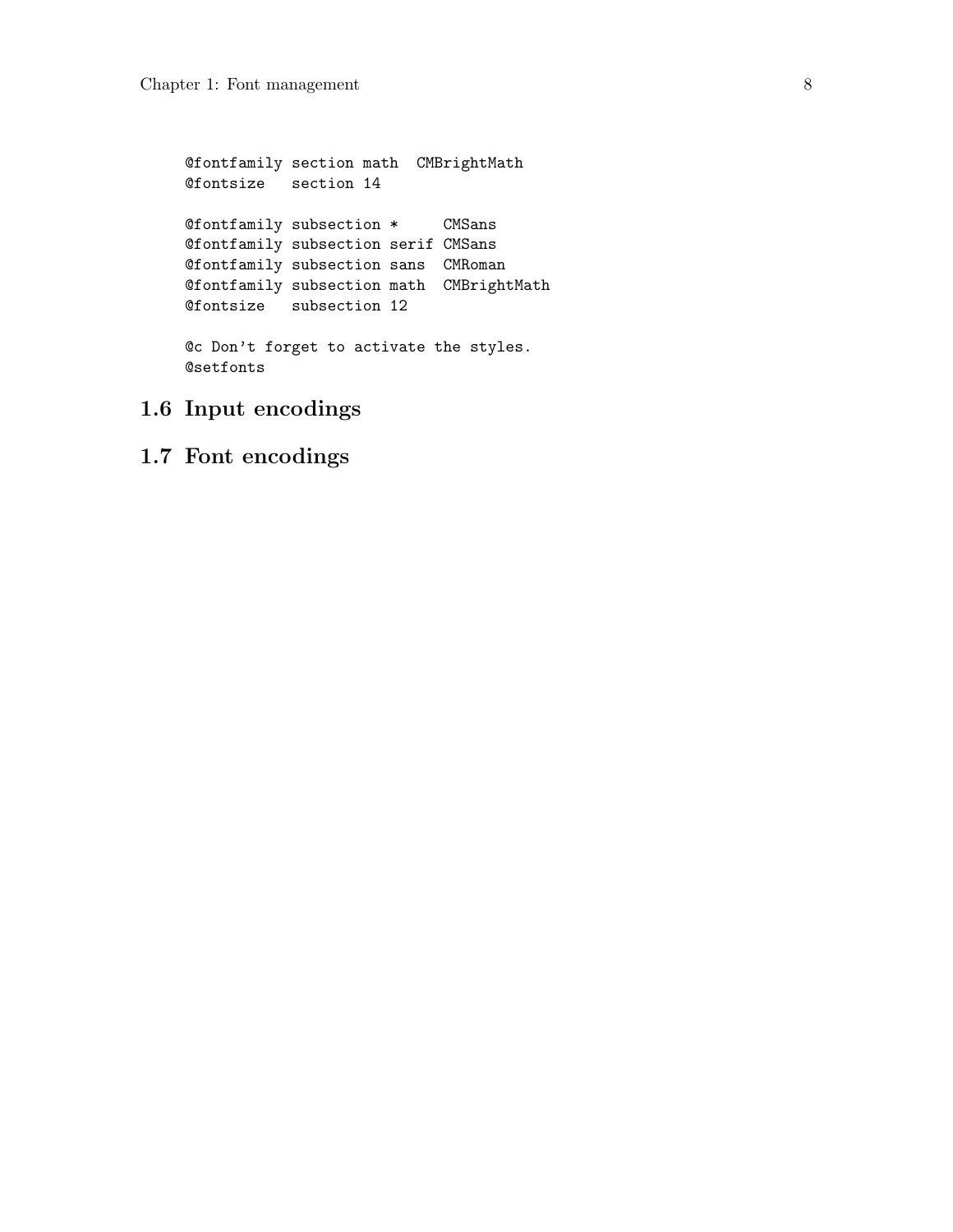<span id="page-9-0"></span>@fontfamily section math CMBrightMath @fontsize section 14 @fontfamily subsection \* CMSans @fontfamily subsection serif CMSans @fontfamily subsection sans CMRoman @fontfamily subsection math CMBrightMath @fontsize subsection 12 @c Don't forget to activate the styles. @setfonts

- 1.6 Input encodings
- 1.7 Font encodings